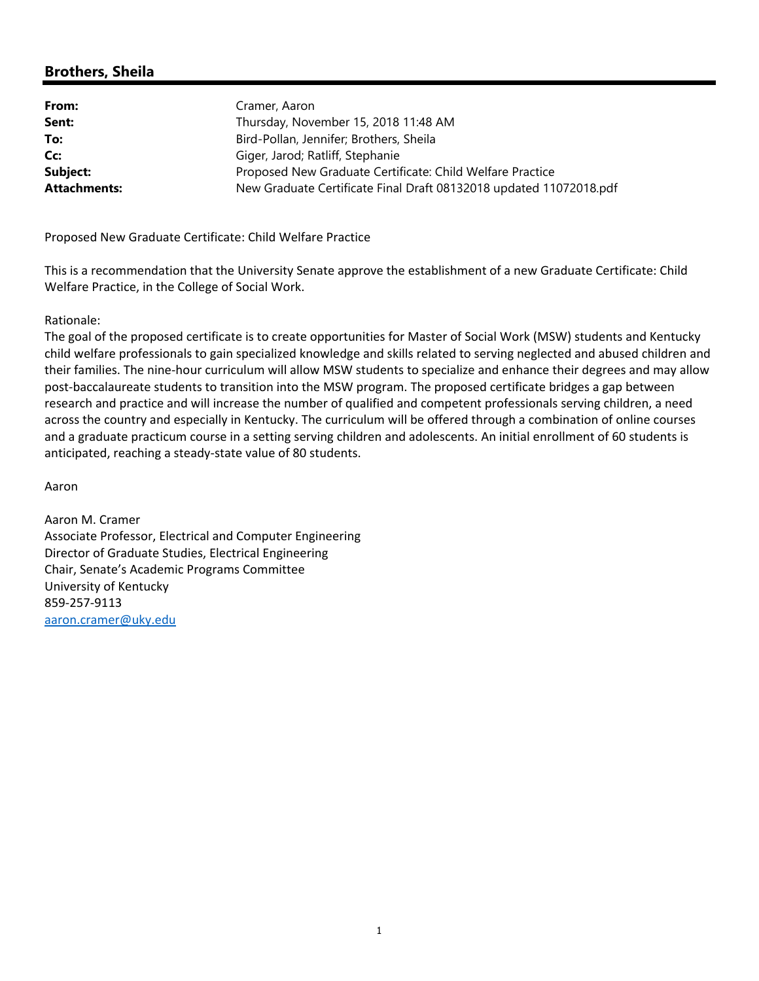# **Brothers, Sheila**

| From:               | Cramer, Aaron                                                      |
|---------------------|--------------------------------------------------------------------|
| Sent:               | Thursday, November 15, 2018 11:48 AM                               |
| To:                 | Bird-Pollan, Jennifer; Brothers, Sheila                            |
| Cc:                 | Giger, Jarod; Ratliff, Stephanie                                   |
| Subject:            | Proposed New Graduate Certificate: Child Welfare Practice          |
| <b>Attachments:</b> | New Graduate Certificate Final Draft 08132018 updated 11072018.pdf |

Proposed New Graduate Certificate: Child Welfare Practice

This is a recommendation that the University Senate approve the establishment of a new Graduate Certificate: Child Welfare Practice, in the College of Social Work.

#### Rationale:

The goal of the proposed certificate is to create opportunities for Master of Social Work (MSW) students and Kentucky child welfare professionals to gain specialized knowledge and skills related to serving neglected and abused children and their families. The nine‐hour curriculum will allow MSW students to specialize and enhance their degrees and may allow post-baccalaureate students to transition into the MSW program. The proposed certificate bridges a gap between research and practice and will increase the number of qualified and competent professionals serving children, a need across the country and especially in Kentucky. The curriculum will be offered through a combination of online courses and a graduate practicum course in a setting serving children and adolescents. An initial enrollment of 60 students is anticipated, reaching a steady‐state value of 80 students.

Aaron

Aaron M. Cramer Associate Professor, Electrical and Computer Engineering Director of Graduate Studies, Electrical Engineering Chair, Senate's Academic Programs Committee University of Kentucky 859‐257‐9113 aaron.cramer@uky.edu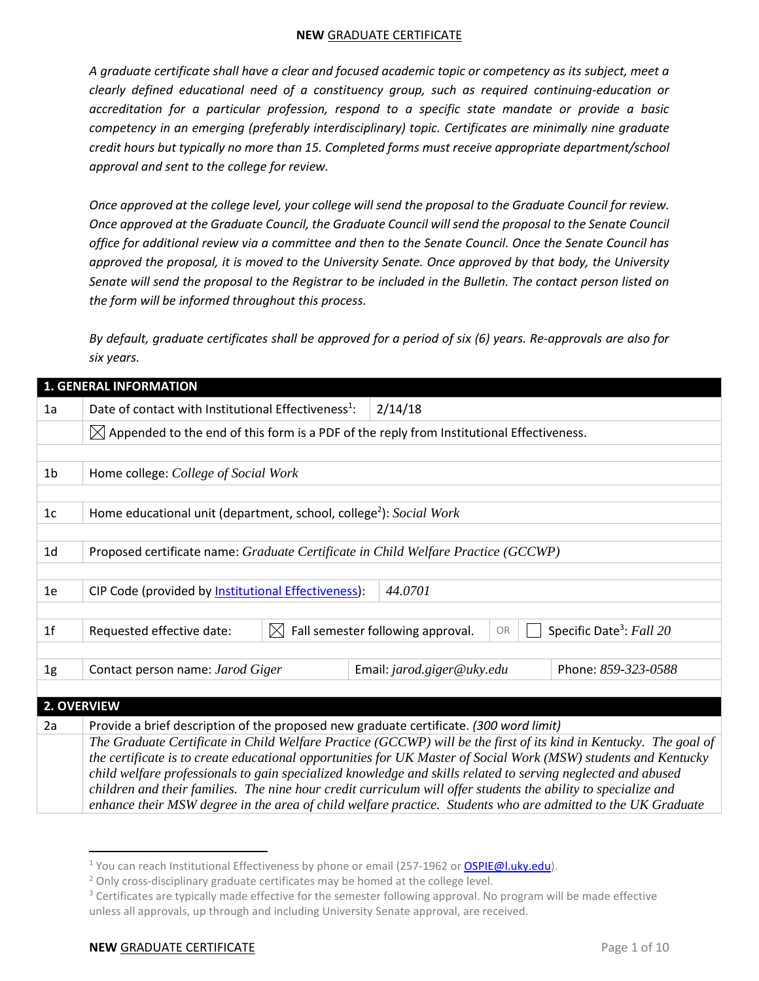*A graduate certificate shall have a clear and focused academic topic or competency as its subject, meet a clearly defined educational need of a constituency group, such as required continuing-education or accreditation for a particular profession, respond to a specific state mandate or provide a basic competency in an emerging (preferably interdisciplinary) topic. Certificates are minimally nine graduate credit hours but typically no more than 15. Completed forms must receive appropriate department/school approval and sent to the college for review.* 

*Once approved at the college level, your college will send the proposal to the Graduate Council for review. Once approved at the Graduate Council, the Graduate Council will send the proposal to the Senate Council office for additional review via a committee and then to the Senate Council. Once the Senate Council has approved the proposal, it is moved to the University Senate. Once approved by that body, the University Senate will send the proposal to the Registrar to be included in the Bulletin. The contact person listed on the form will be informed throughout this process.*

*By default, graduate certificates shall be approved for a period of six (6) years. Re-approvals are also for six years.*

|                | <b>1. GENERAL INFORMATION</b>                                                                        |                                                                                                                                                                                                                                |  |  |  |  |  |
|----------------|------------------------------------------------------------------------------------------------------|--------------------------------------------------------------------------------------------------------------------------------------------------------------------------------------------------------------------------------|--|--|--|--|--|
| 1a             | Date of contact with Institutional Effectiveness <sup>1</sup> :                                      | 2/14/18                                                                                                                                                                                                                        |  |  |  |  |  |
|                | $\boxtimes$ Appended to the end of this form is a PDF of the reply from Institutional Effectiveness. |                                                                                                                                                                                                                                |  |  |  |  |  |
|                |                                                                                                      |                                                                                                                                                                                                                                |  |  |  |  |  |
| 1 <sub>b</sub> | Home college: College of Social Work                                                                 |                                                                                                                                                                                                                                |  |  |  |  |  |
|                |                                                                                                      |                                                                                                                                                                                                                                |  |  |  |  |  |
| 1 <sub>c</sub> | Home educational unit (department, school, college <sup>2</sup> ): Social Work                       |                                                                                                                                                                                                                                |  |  |  |  |  |
|                |                                                                                                      |                                                                                                                                                                                                                                |  |  |  |  |  |
| 1 <sub>d</sub> | Proposed certificate name: Graduate Certificate in Child Welfare Practice (GCCWP)                    |                                                                                                                                                                                                                                |  |  |  |  |  |
|                |                                                                                                      |                                                                                                                                                                                                                                |  |  |  |  |  |
| 1e             | CIP Code (provided by Institutional Effectiveness):                                                  | 44.0701                                                                                                                                                                                                                        |  |  |  |  |  |
|                |                                                                                                      |                                                                                                                                                                                                                                |  |  |  |  |  |
| 1 <sup>f</sup> | Requested effective date:<br>$\mathsf{IX}$                                                           | Fall semester following approval.<br>Specific Date <sup>3</sup> : Fall 20<br>OR                                                                                                                                                |  |  |  |  |  |
|                |                                                                                                      |                                                                                                                                                                                                                                |  |  |  |  |  |
| 1g             | Contact person name: Jarod Giger                                                                     | Phone: 859-323-0588<br>Email: jarod.giger@uky.edu                                                                                                                                                                              |  |  |  |  |  |
|                |                                                                                                      |                                                                                                                                                                                                                                |  |  |  |  |  |
|                | 2. OVERVIEW                                                                                          |                                                                                                                                                                                                                                |  |  |  |  |  |
| 2a             | Provide a brief description of the proposed new graduate certificate. (300 word limit)               |                                                                                                                                                                                                                                |  |  |  |  |  |
|                |                                                                                                      | The Graduate Certificate in Child Welfare Practice (GCCWP) will be the first of its kind in Kentucky. The goal of                                                                                                              |  |  |  |  |  |
|                |                                                                                                      | the certificate is to create educational opportunities for UK Master of Social Work (MSW) students and Kentucky                                                                                                                |  |  |  |  |  |
|                |                                                                                                      | child welfare professionals to gain specialized knowledge and skills related to serving neglected and abused<br>children and their families. The nine hour credit curriculum will offer students the ability to specialize and |  |  |  |  |  |
|                |                                                                                                      | enhance their MSW degree in the area of child welfare practice. Students who are admitted to the UK Graduate                                                                                                                   |  |  |  |  |  |

<sup>&</sup>lt;sup>1</sup> You can reach Institutional Effectiveness by phone or email (257-1962 o[r OSPIE@l.uky.edu\)](mailto:OSPIE@l.uky.edu).

<sup>&</sup>lt;sup>2</sup> Only cross-disciplinary graduate certificates may be homed at the college level.

<sup>&</sup>lt;sup>3</sup> Certificates are typically made effective for the semester following approval. No program will be made effective unless all approvals, up through and including University Senate approval, are received.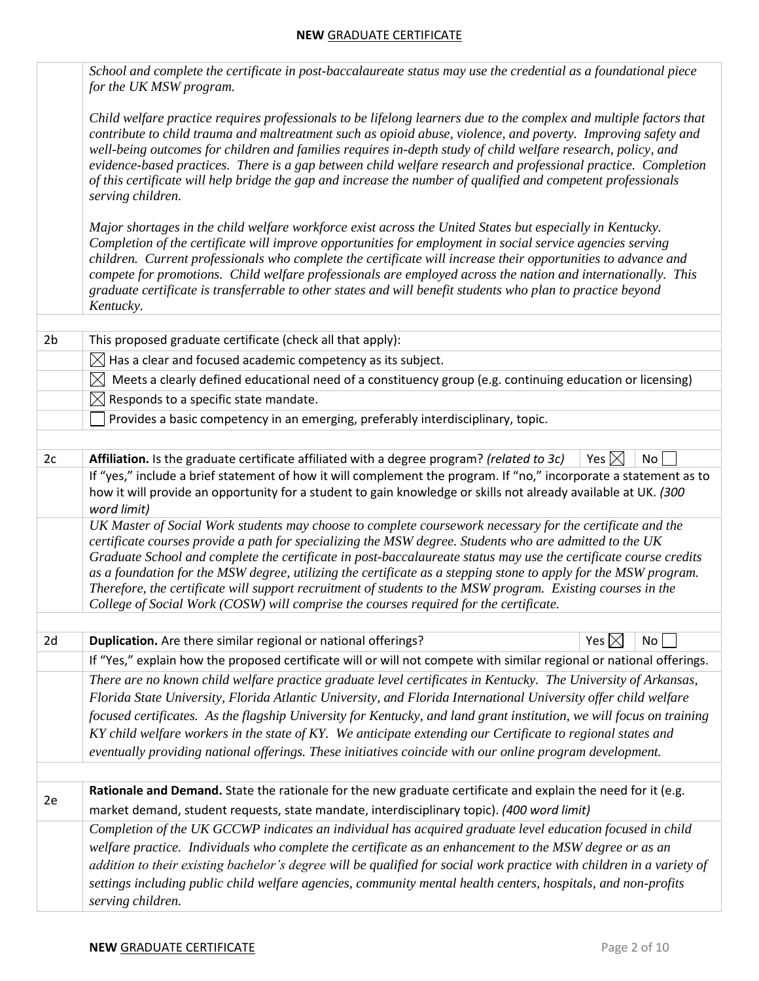|                | School and complete the certificate in post-baccalaureate status may use the credential as a foundational piece<br>for the UK MSW program.                                                                                                                                                                                                                                                                                                                                                                                                                                                                                                                          |
|----------------|---------------------------------------------------------------------------------------------------------------------------------------------------------------------------------------------------------------------------------------------------------------------------------------------------------------------------------------------------------------------------------------------------------------------------------------------------------------------------------------------------------------------------------------------------------------------------------------------------------------------------------------------------------------------|
|                | Child welfare practice requires professionals to be lifelong learners due to the complex and multiple factors that<br>contribute to child trauma and maltreatment such as opioid abuse, violence, and poverty. Improving safety and<br>well-being outcomes for children and families requires in-depth study of child welfare research, policy, and<br>evidence-based practices. There is a gap between child welfare research and professional practice. Completion<br>of this certificate will help bridge the gap and increase the number of qualified and competent professionals<br>serving children.                                                          |
|                | Major shortages in the child welfare workforce exist across the United States but especially in Kentucky.<br>Completion of the certificate will improve opportunities for employment in social service agencies serving<br>children. Current professionals who complete the certificate will increase their opportunities to advance and<br>compete for promotions. Child welfare professionals are employed across the nation and internationally. This<br>graduate certificate is transferrable to other states and will benefit students who plan to practice beyond<br>Kentucky.                                                                                |
| 2 <sub>b</sub> | This proposed graduate certificate (check all that apply):                                                                                                                                                                                                                                                                                                                                                                                                                                                                                                                                                                                                          |
|                | $\boxtimes$ Has a clear and focused academic competency as its subject.                                                                                                                                                                                                                                                                                                                                                                                                                                                                                                                                                                                             |
|                | Meets a clearly defined educational need of a constituency group (e.g. continuing education or licensing)<br>$\boxtimes$                                                                                                                                                                                                                                                                                                                                                                                                                                                                                                                                            |
|                | $\boxtimes$ Responds to a specific state mandate.                                                                                                                                                                                                                                                                                                                                                                                                                                                                                                                                                                                                                   |
|                | Provides a basic competency in an emerging, preferably interdisciplinary, topic.                                                                                                                                                                                                                                                                                                                                                                                                                                                                                                                                                                                    |
|                |                                                                                                                                                                                                                                                                                                                                                                                                                                                                                                                                                                                                                                                                     |
| 2c             | Yes $\boxtimes$<br>Affiliation. Is the graduate certificate affiliated with a degree program? (related to 3c)<br>No<br>If "yes," include a brief statement of how it will complement the program. If "no," incorporate a statement as to<br>how it will provide an opportunity for a student to gain knowledge or skills not already available at UK. (300<br>word limit)                                                                                                                                                                                                                                                                                           |
|                | UK Master of Social Work students may choose to complete coursework necessary for the certificate and the<br>certificate courses provide a path for specializing the MSW degree. Students who are admitted to the UK<br>Graduate School and complete the certificate in post-baccalaureate status may use the certificate course credits<br>as a foundation for the MSW degree, utilizing the certificate as a stepping stone to apply for the MSW program.<br>Therefore, the certificate will support recruitment of students to the MSW program. Existing courses in the<br>College of Social Work (COSW) will comprise the courses required for the certificate. |
| 2d             | Duplication. Are there similar regional or national offerings?<br>Yes $\boxtimes$<br>No                                                                                                                                                                                                                                                                                                                                                                                                                                                                                                                                                                             |
|                | If "Yes," explain how the proposed certificate will or will not compete with similar regional or national offerings.                                                                                                                                                                                                                                                                                                                                                                                                                                                                                                                                                |
|                | There are no known child welfare practice graduate level certificates in Kentucky. The University of Arkansas,                                                                                                                                                                                                                                                                                                                                                                                                                                                                                                                                                      |
|                | Florida State University, Florida Atlantic University, and Florida International University offer child welfare                                                                                                                                                                                                                                                                                                                                                                                                                                                                                                                                                     |
|                | focused certificates. As the flagship University for Kentucky, and land grant institution, we will focus on training                                                                                                                                                                                                                                                                                                                                                                                                                                                                                                                                                |
|                | KY child welfare workers in the state of KY. We anticipate extending our Certificate to regional states and                                                                                                                                                                                                                                                                                                                                                                                                                                                                                                                                                         |
|                | eventually providing national offerings. These initiatives coincide with our online program development.                                                                                                                                                                                                                                                                                                                                                                                                                                                                                                                                                            |
|                |                                                                                                                                                                                                                                                                                                                                                                                                                                                                                                                                                                                                                                                                     |
| 2e             | Rationale and Demand. State the rationale for the new graduate certificate and explain the need for it (e.g.<br>market demand, student requests, state mandate, interdisciplinary topic). (400 word limit)                                                                                                                                                                                                                                                                                                                                                                                                                                                          |
|                | Completion of the UK GCCWP indicates an individual has acquired graduate level education focused in child<br>welfare practice. Individuals who complete the certificate as an enhancement to the MSW degree or as an<br>addition to their existing bachelor's degree will be qualified for social work practice with children in a variety of<br>settings including public child welfare agencies, community mental health centers, hospitals, and non-profits<br>serving children.                                                                                                                                                                                 |
|                |                                                                                                                                                                                                                                                                                                                                                                                                                                                                                                                                                                                                                                                                     |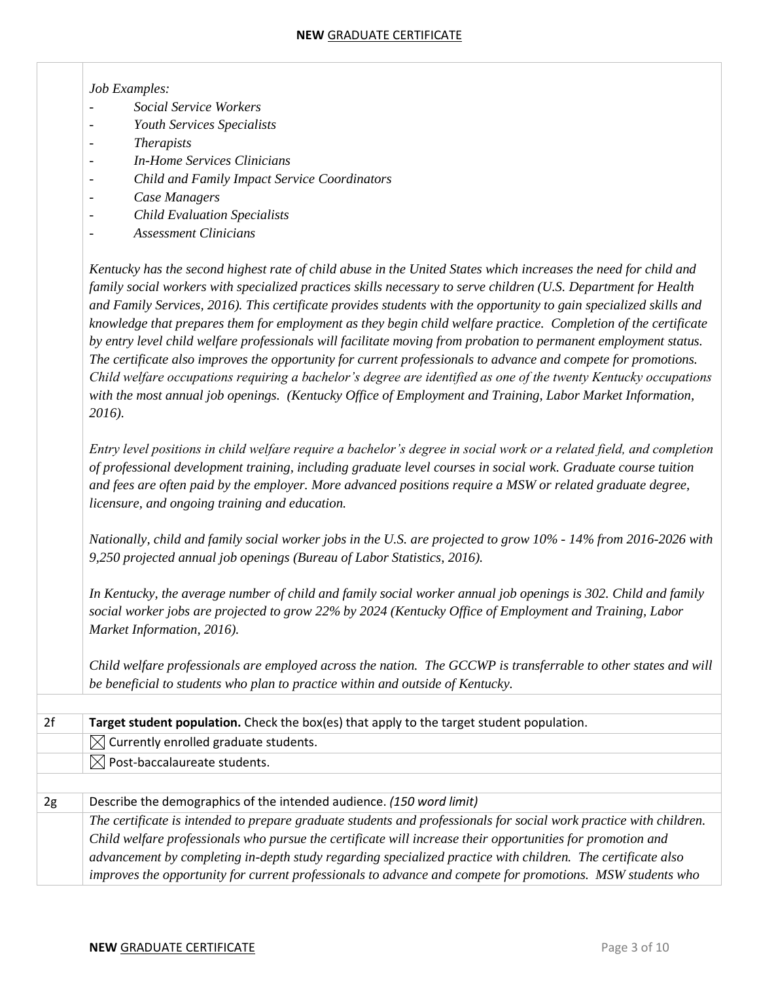| Job Examples:                                                                                                        |
|----------------------------------------------------------------------------------------------------------------------|
| Social Service Workers                                                                                               |
| Youth Services Specialists                                                                                           |
| <b>Therapists</b>                                                                                                    |
| <b>In-Home Services Clinicians</b>                                                                                   |
| Child and Family Impact Service Coordinators                                                                         |
| Case Managers                                                                                                        |
| <b>Child Evaluation Specialists</b>                                                                                  |
| <b>Assessment Clinicians</b>                                                                                         |
| Kentucky has the second highest rate of child abuse in the United States which increases the need for child and      |
| family social workers with specialized practices skills necessary to serve children (U.S. Department for Health      |
| and Family Services, 2016). This certificate provides students with the opportunity to gain specialized skills and   |
| knowledge that prepares them for employment as they begin child welfare practice. Completion of the certificate      |
| by entry level child welfare professionals will facilitate moving from probation to permanent employment status.     |
| The certificate also improves the opportunity for current professionals to advance and compete for promotions.       |
| Child welfare occupations requiring a bachelor's degree are identified as one of the twenty Kentucky occupations     |
| with the most annual job openings. (Kentucky Office of Employment and Training, Labor Market Information,            |
| 2016).                                                                                                               |
| Entry level positions in child welfare require a bachelor's degree in social work or a related field, and completion |
| of professional development training, including graduate level courses in social work. Graduate course tuition       |
| and fees are often paid by the employer. More advanced positions require a MSW or related graduate degree,           |
| licensure, and ongoing training and education.                                                                       |
| Nationally, child and family social worker jobs in the U.S. are projected to grow 10% - 14% from 2016-2026 with      |
| 9,250 projected annual job openings (Bureau of Labor Statistics, 2016).                                              |
| In Kentucky, the average number of child and family social worker annual job openings is 302. Child and family       |
| social worker jobs are projected to grow 22% by 2024 (Kentucky Office of Employment and Training, Labor              |
| Market Information, 2016).                                                                                           |
| Child welfare professionals are employed across the nation. The GCCWP is transferrable to other states and will      |
| be beneficial to students who plan to practice within and outside of Kentucky.                                       |
|                                                                                                                      |
| Target student population. Check the box(es) that apply to the target student population.                            |
| Currently enrolled graduate students.<br>$\boxtimes$                                                                 |
| Post-baccalaureate students.<br>$\boxtimes$                                                                          |
| Describe the demographics of the intended audience. (150 word limit)                                                 |
| The certificate is intended to prepare graduate students and professionals for social work practice with children.   |
| Child welfare professionals who pursue the certificate will increase their opportunities for promotion and           |
| advancement by completing in-depth study regarding specialized practice with children. The certificate also          |
|                                                                                                                      |

*improves the opportunity for current professionals to advance and compete for promotions. MSW students who*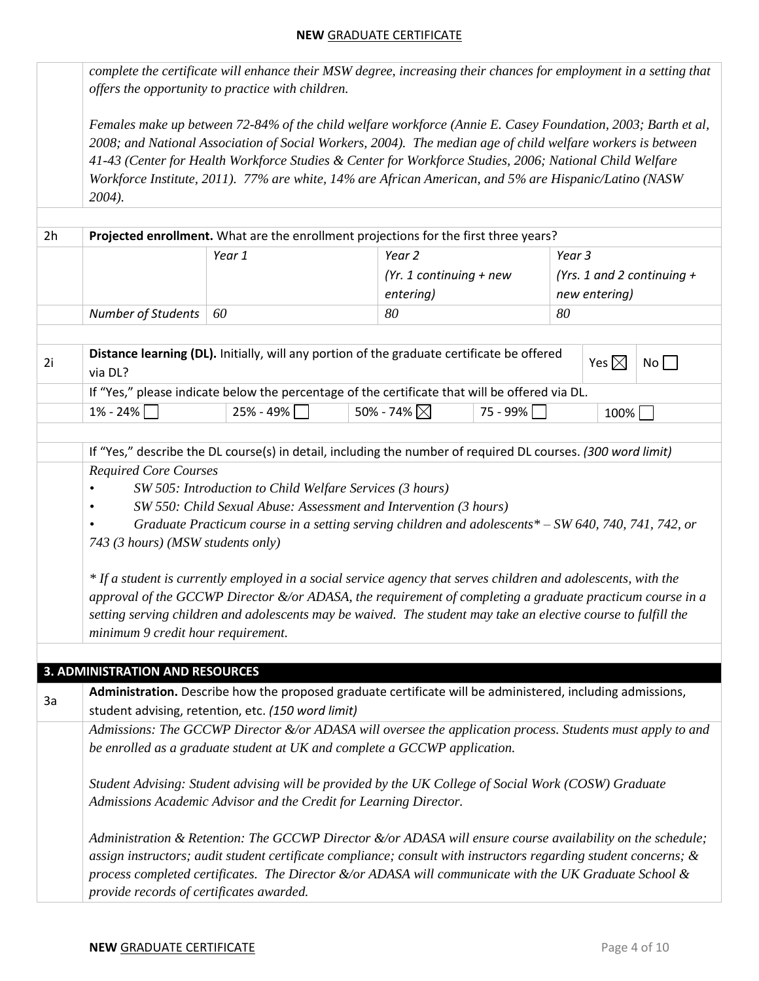|    |                                                                                                                                                                                                                                                                                                                                                                                                                                                                                                                                                                                                                                                                                                                                                                                                                    | complete the certificate will enhance their MSW degree, increasing their chances for employment in a setting that<br>offers the opportunity to practice with children.                                                                                                                                                                                                                                                                          |  |                                                             |            |        |                 |                            |
|----|--------------------------------------------------------------------------------------------------------------------------------------------------------------------------------------------------------------------------------------------------------------------------------------------------------------------------------------------------------------------------------------------------------------------------------------------------------------------------------------------------------------------------------------------------------------------------------------------------------------------------------------------------------------------------------------------------------------------------------------------------------------------------------------------------------------------|-------------------------------------------------------------------------------------------------------------------------------------------------------------------------------------------------------------------------------------------------------------------------------------------------------------------------------------------------------------------------------------------------------------------------------------------------|--|-------------------------------------------------------------|------------|--------|-----------------|----------------------------|
|    | $2004$ ).                                                                                                                                                                                                                                                                                                                                                                                                                                                                                                                                                                                                                                                                                                                                                                                                          | Females make up between 72-84% of the child welfare workforce (Annie E. Casey Foundation, 2003; Barth et al,<br>2008; and National Association of Social Workers, 2004). The median age of child welfare workers is between<br>41-43 (Center for Health Workforce Studies & Center for Workforce Studies, 2006; National Child Welfare<br>Workforce Institute, 2011). 77% are white, 14% are African American, and 5% are Hispanic/Latino (NASW |  |                                                             |            |        |                 |                            |
| 2h |                                                                                                                                                                                                                                                                                                                                                                                                                                                                                                                                                                                                                                                                                                                                                                                                                    | Projected enrollment. What are the enrollment projections for the first three years?                                                                                                                                                                                                                                                                                                                                                            |  |                                                             |            |        |                 |                            |
|    |                                                                                                                                                                                                                                                                                                                                                                                                                                                                                                                                                                                                                                                                                                                                                                                                                    | Year 1                                                                                                                                                                                                                                                                                                                                                                                                                                          |  | Year <sub>2</sub><br>(Yr. 1 continuing $+$ new<br>entering) |            | Year 3 | new entering)   | (Yrs. 1 and 2 continuing + |
|    | Number of Students                                                                                                                                                                                                                                                                                                                                                                                                                                                                                                                                                                                                                                                                                                                                                                                                 | 60                                                                                                                                                                                                                                                                                                                                                                                                                                              |  | 80                                                          |            | 80     |                 |                            |
| 2i | via DL?                                                                                                                                                                                                                                                                                                                                                                                                                                                                                                                                                                                                                                                                                                                                                                                                            | Distance learning (DL). Initially, will any portion of the graduate certificate be offered                                                                                                                                                                                                                                                                                                                                                      |  |                                                             |            |        | Yes $\boxtimes$ | No                         |
|    |                                                                                                                                                                                                                                                                                                                                                                                                                                                                                                                                                                                                                                                                                                                                                                                                                    | If "Yes," please indicate below the percentage of the certificate that will be offered via DL.                                                                                                                                                                                                                                                                                                                                                  |  |                                                             |            |        |                 |                            |
|    | $1\% - 24\%$                                                                                                                                                                                                                                                                                                                                                                                                                                                                                                                                                                                                                                                                                                                                                                                                       | $25% - 49%$                                                                                                                                                                                                                                                                                                                                                                                                                                     |  | 50% - 74% $\boxtimes$                                       | 75 - 99% [ |        | 100%            |                            |
|    | If "Yes," describe the DL course(s) in detail, including the number of required DL courses. (300 word limit)<br><b>Required Core Courses</b><br>SW 505: Introduction to Child Welfare Services (3 hours)<br>SW 550: Child Sexual Abuse: Assessment and Intervention (3 hours)<br>Graduate Practicum course in a setting serving children and adolescents* $-SW$ 640, 740, 741, 742, or<br>743 (3 hours) (MSW students only)<br>* If a student is currently employed in a social service agency that serves children and adolescents, with the<br>approval of the GCCWP Director &/or ADASA, the requirement of completing a graduate practicum course in a<br>setting serving children and adolescents may be waived. The student may take an elective course to fulfill the<br>minimum 9 credit hour requirement. |                                                                                                                                                                                                                                                                                                                                                                                                                                                 |  |                                                             |            |        |                 |                            |
| 3a | <b>3. ADMINISTRATION AND RESOURCES</b>                                                                                                                                                                                                                                                                                                                                                                                                                                                                                                                                                                                                                                                                                                                                                                             | Administration. Describe how the proposed graduate certificate will be administered, including admissions,<br>student advising, retention, etc. (150 word limit)                                                                                                                                                                                                                                                                                |  |                                                             |            |        |                 |                            |
|    |                                                                                                                                                                                                                                                                                                                                                                                                                                                                                                                                                                                                                                                                                                                                                                                                                    | Admissions: The GCCWP Director &/or ADASA will oversee the application process. Students must apply to and<br>be enrolled as a graduate student at UK and complete a GCCWP application.                                                                                                                                                                                                                                                         |  |                                                             |            |        |                 |                            |
|    |                                                                                                                                                                                                                                                                                                                                                                                                                                                                                                                                                                                                                                                                                                                                                                                                                    | Student Advising: Student advising will be provided by the UK College of Social Work (COSW) Graduate<br>Admissions Academic Advisor and the Credit for Learning Director.                                                                                                                                                                                                                                                                       |  |                                                             |            |        |                 |                            |
|    | provide records of certificates awarded.                                                                                                                                                                                                                                                                                                                                                                                                                                                                                                                                                                                                                                                                                                                                                                           | Administration & Retention: The GCCWP Director &/or ADASA will ensure course availability on the schedule;<br>assign instructors; audit student certificate compliance; consult with instructors regarding student concerns; &<br>process completed certificates. The Director $\&\/$ or ADASA will communicate with the UK Graduate School $\&$                                                                                                |  |                                                             |            |        |                 |                            |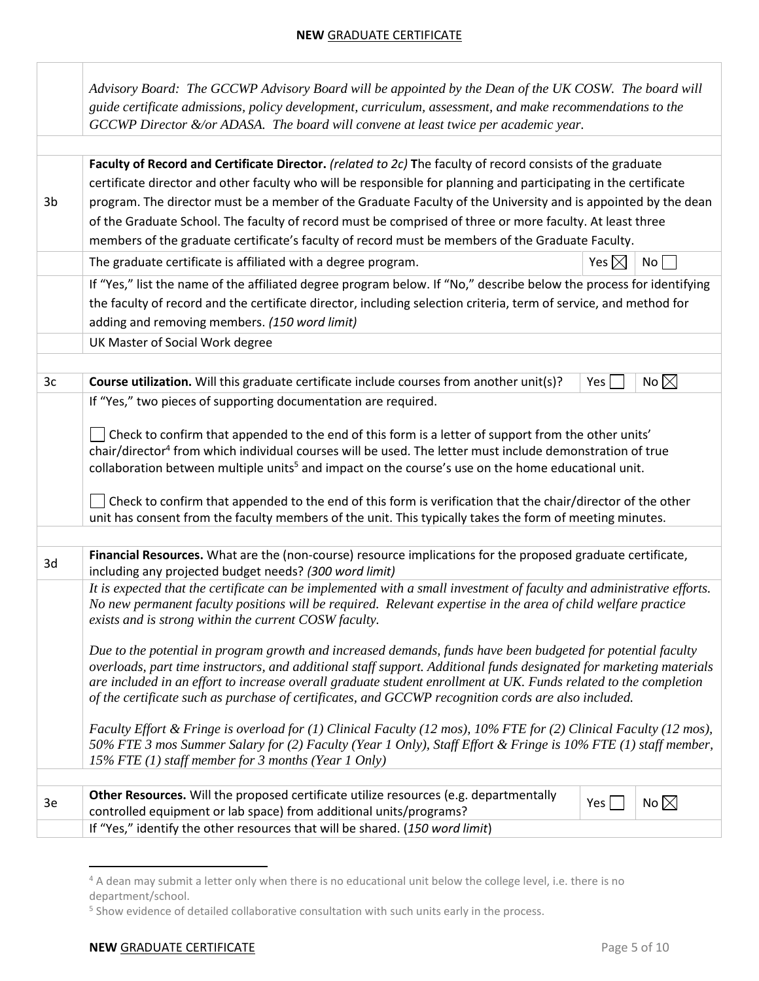|    | Advisory Board: The GCCWP Advisory Board will be appointed by the Dean of the UK COSW. The board will<br>guide certificate admissions, policy development, curriculum, assessment, and make recommendations to the<br>GCCWP Director &/or ADASA. The board will convene at least twice per academic year.                                                                                                                                                                                                                                                                 |                 |                |
|----|---------------------------------------------------------------------------------------------------------------------------------------------------------------------------------------------------------------------------------------------------------------------------------------------------------------------------------------------------------------------------------------------------------------------------------------------------------------------------------------------------------------------------------------------------------------------------|-----------------|----------------|
| 3b | Faculty of Record and Certificate Director. (related to 2c) The faculty of record consists of the graduate<br>certificate director and other faculty who will be responsible for planning and participating in the certificate<br>program. The director must be a member of the Graduate Faculty of the University and is appointed by the dean<br>of the Graduate School. The faculty of record must be comprised of three or more faculty. At least three<br>members of the graduate certificate's faculty of record must be members of the Graduate Faculty.           |                 |                |
|    | The graduate certificate is affiliated with a degree program.                                                                                                                                                                                                                                                                                                                                                                                                                                                                                                             | Yes $\boxtimes$ | No             |
|    | If "Yes," list the name of the affiliated degree program below. If "No," describe below the process for identifying<br>the faculty of record and the certificate director, including selection criteria, term of service, and method for<br>adding and removing members. (150 word limit)<br>UK Master of Social Work degree                                                                                                                                                                                                                                              |                 |                |
| 3c | Course utilization. Will this graduate certificate include courses from another unit(s)?                                                                                                                                                                                                                                                                                                                                                                                                                                                                                  | Yes $\vert$     | No $\boxtimes$ |
|    | Check to confirm that appended to the end of this form is a letter of support from the other units'<br>chair/director <sup>4</sup> from which individual courses will be used. The letter must include demonstration of true<br>collaboration between multiple units <sup>5</sup> and impact on the course's use on the home educational unit.<br>Check to confirm that appended to the end of this form is verification that the chair/director of the other<br>unit has consent from the faculty members of the unit. This typically takes the form of meeting minutes. |                 |                |
| 3d | Financial Resources. What are the (non-course) resource implications for the proposed graduate certificate,<br>including any projected budget needs? (300 word limit)                                                                                                                                                                                                                                                                                                                                                                                                     |                 |                |
|    | It is expected that the certificate can be implemented with a small investment of faculty and administrative efforts.<br>No new permanent faculty positions will be required. Relevant expertise in the area of child welfare practice<br>exists and is strong within the current COSW faculty.                                                                                                                                                                                                                                                                           |                 |                |
|    | Due to the potential in program growth and increased demands, funds have been budgeted for potential faculty<br>overloads, part time instructors, and additional staff support. Additional funds designated for marketing materials<br>are included in an effort to increase overall graduate student enrollment at UK. Funds related to the completion<br>of the certificate such as purchase of certificates, and GCCWP recognition cords are also included.                                                                                                            |                 |                |
|    | Faculty Effort & Fringe is overload for (1) Clinical Faculty (12 mos), 10% FTE for (2) Clinical Faculty (12 mos),<br>50% FTE 3 mos Summer Salary for (2) Faculty (Year 1 Only), Staff Effort & Fringe is 10% FTE (1) staff member,<br>15% FTE (1) staff member for 3 months (Year 1 Only)                                                                                                                                                                                                                                                                                 |                 |                |
| 3e | Other Resources. Will the proposed certificate utilize resources (e.g. departmentally<br>controlled equipment or lab space) from additional units/programs?                                                                                                                                                                                                                                                                                                                                                                                                               | Yes             | No $\boxtimes$ |
|    | If "Yes," identify the other resources that will be shared. (150 word limit)                                                                                                                                                                                                                                                                                                                                                                                                                                                                                              |                 |                |

<sup>&</sup>lt;sup>4</sup> A dean may submit a letter only when there is no educational unit below the college level, i.e. there is no department/school.

<sup>&</sup>lt;sup>5</sup> Show evidence of detailed collaborative consultation with such units early in the process.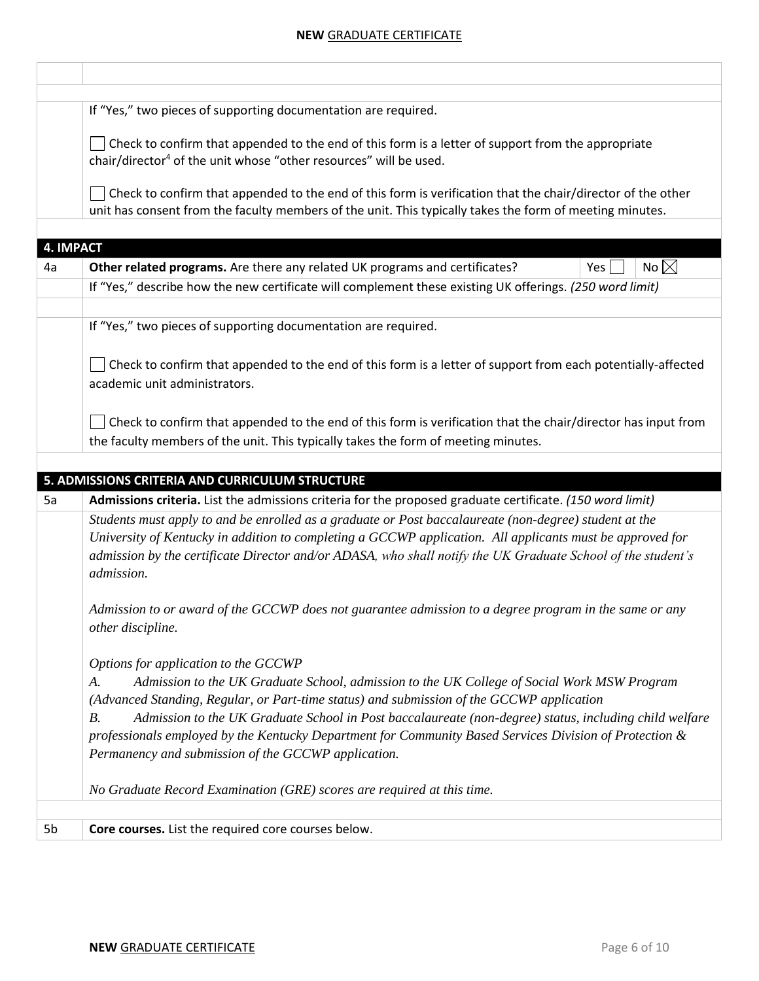|    | If "Yes," two pieces of supporting documentation are required.                                                                                                                                                                                                                                                                                    |
|----|---------------------------------------------------------------------------------------------------------------------------------------------------------------------------------------------------------------------------------------------------------------------------------------------------------------------------------------------------|
|    | Check to confirm that appended to the end of this form is a letter of support from the appropriate<br>chair/director <sup>4</sup> of the unit whose "other resources" will be used.                                                                                                                                                               |
|    | Check to confirm that appended to the end of this form is verification that the chair/director of the other<br>unit has consent from the faculty members of the unit. This typically takes the form of meeting minutes.                                                                                                                           |
|    | <b>4. IMPACT</b>                                                                                                                                                                                                                                                                                                                                  |
| 4a | No $\boxtimes$<br>Other related programs. Are there any related UK programs and certificates?<br>Yes                                                                                                                                                                                                                                              |
|    | If "Yes," describe how the new certificate will complement these existing UK offerings. (250 word limit)                                                                                                                                                                                                                                          |
|    | If "Yes," two pieces of supporting documentation are required.                                                                                                                                                                                                                                                                                    |
|    | Check to confirm that appended to the end of this form is a letter of support from each potentially-affected<br>academic unit administrators.                                                                                                                                                                                                     |
|    | Check to confirm that appended to the end of this form is verification that the chair/director has input from<br>the faculty members of the unit. This typically takes the form of meeting minutes.                                                                                                                                               |
|    | 5. ADMISSIONS CRITERIA AND CURRICULUM STRUCTURE                                                                                                                                                                                                                                                                                                   |
| 5a | Admissions criteria. List the admissions criteria for the proposed graduate certificate. (150 word limit)                                                                                                                                                                                                                                         |
|    | Students must apply to and be enrolled as a graduate or Post baccalaureate (non-degree) student at the<br>University of Kentucky in addition to completing a GCCWP application. All applicants must be approved for<br>admission by the certificate Director and/or ADASA, who shall notify the UK Graduate School of the student's<br>admission. |
|    | Admission to or award of the GCCWP does not guarantee admission to a degree program in the same or any<br>other discipline.                                                                                                                                                                                                                       |
|    | Options for application to the GCCWP                                                                                                                                                                                                                                                                                                              |
|    | Admission to the UK Graduate School, admission to the UK College of Social Work MSW Program<br>A.<br>(Advanced Standing, Regular, or Part-time status) and submission of the GCCWP application                                                                                                                                                    |
|    |                                                                                                                                                                                                                                                                                                                                                   |
|    | Admission to the UK Graduate School in Post baccalaureate (non-degree) status, including child welfare<br><i>B.</i><br>professionals employed by the Kentucky Department for Community Based Services Division of Protection &<br>Permanency and submission of the GCCWP application.                                                             |
|    | No Graduate Record Examination (GRE) scores are required at this time.                                                                                                                                                                                                                                                                            |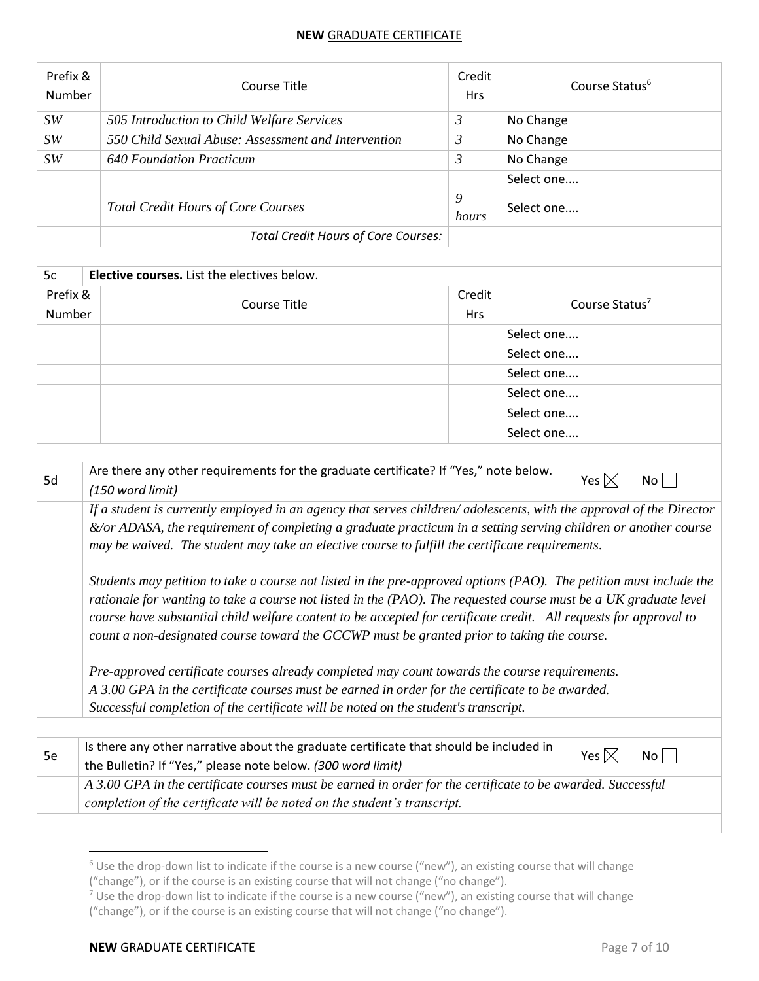| Prefix &<br>Number | <b>Course Title</b>                                                                                                                                                                                                                                                                                                                                                                                                                                                                                                                                                                                                                                                                                                                                                                                                                                                                                                                                                                                                                                                                               |                             | Course Status <sup>6</sup> |                            |    |  |
|--------------------|---------------------------------------------------------------------------------------------------------------------------------------------------------------------------------------------------------------------------------------------------------------------------------------------------------------------------------------------------------------------------------------------------------------------------------------------------------------------------------------------------------------------------------------------------------------------------------------------------------------------------------------------------------------------------------------------------------------------------------------------------------------------------------------------------------------------------------------------------------------------------------------------------------------------------------------------------------------------------------------------------------------------------------------------------------------------------------------------------|-----------------------------|----------------------------|----------------------------|----|--|
| SW                 | 505 Introduction to Child Welfare Services                                                                                                                                                                                                                                                                                                                                                                                                                                                                                                                                                                                                                                                                                                                                                                                                                                                                                                                                                                                                                                                        | 3                           | No Change                  |                            |    |  |
| SW                 | 550 Child Sexual Abuse: Assessment and Intervention                                                                                                                                                                                                                                                                                                                                                                                                                                                                                                                                                                                                                                                                                                                                                                                                                                                                                                                                                                                                                                               | No Change<br>$\mathfrak{Z}$ |                            |                            |    |  |
| SW                 | <b>640 Foundation Practicum</b>                                                                                                                                                                                                                                                                                                                                                                                                                                                                                                                                                                                                                                                                                                                                                                                                                                                                                                                                                                                                                                                                   | $\mathfrak{Z}$              | No Change                  |                            |    |  |
|                    |                                                                                                                                                                                                                                                                                                                                                                                                                                                                                                                                                                                                                                                                                                                                                                                                                                                                                                                                                                                                                                                                                                   |                             | Select one                 |                            |    |  |
|                    | 9<br><b>Total Credit Hours of Core Courses</b><br>hours                                                                                                                                                                                                                                                                                                                                                                                                                                                                                                                                                                                                                                                                                                                                                                                                                                                                                                                                                                                                                                           |                             | Select one                 |                            |    |  |
|                    | <b>Total Credit Hours of Core Courses:</b>                                                                                                                                                                                                                                                                                                                                                                                                                                                                                                                                                                                                                                                                                                                                                                                                                                                                                                                                                                                                                                                        |                             |                            |                            |    |  |
|                    |                                                                                                                                                                                                                                                                                                                                                                                                                                                                                                                                                                                                                                                                                                                                                                                                                                                                                                                                                                                                                                                                                                   |                             |                            |                            |    |  |
| 5c                 | Elective courses. List the electives below.                                                                                                                                                                                                                                                                                                                                                                                                                                                                                                                                                                                                                                                                                                                                                                                                                                                                                                                                                                                                                                                       |                             |                            |                            |    |  |
| Prefix &           | <b>Course Title</b>                                                                                                                                                                                                                                                                                                                                                                                                                                                                                                                                                                                                                                                                                                                                                                                                                                                                                                                                                                                                                                                                               | Credit                      |                            | Course Status <sup>7</sup> |    |  |
| Number             |                                                                                                                                                                                                                                                                                                                                                                                                                                                                                                                                                                                                                                                                                                                                                                                                                                                                                                                                                                                                                                                                                                   | <b>Hrs</b>                  |                            |                            |    |  |
|                    |                                                                                                                                                                                                                                                                                                                                                                                                                                                                                                                                                                                                                                                                                                                                                                                                                                                                                                                                                                                                                                                                                                   |                             | Select one                 |                            |    |  |
|                    |                                                                                                                                                                                                                                                                                                                                                                                                                                                                                                                                                                                                                                                                                                                                                                                                                                                                                                                                                                                                                                                                                                   |                             | Select one                 |                            |    |  |
|                    |                                                                                                                                                                                                                                                                                                                                                                                                                                                                                                                                                                                                                                                                                                                                                                                                                                                                                                                                                                                                                                                                                                   |                             | Select one                 |                            |    |  |
|                    |                                                                                                                                                                                                                                                                                                                                                                                                                                                                                                                                                                                                                                                                                                                                                                                                                                                                                                                                                                                                                                                                                                   |                             | Select one                 |                            |    |  |
|                    |                                                                                                                                                                                                                                                                                                                                                                                                                                                                                                                                                                                                                                                                                                                                                                                                                                                                                                                                                                                                                                                                                                   |                             | Select one                 |                            |    |  |
|                    |                                                                                                                                                                                                                                                                                                                                                                                                                                                                                                                                                                                                                                                                                                                                                                                                                                                                                                                                                                                                                                                                                                   |                             | Select one                 |                            |    |  |
|                    |                                                                                                                                                                                                                                                                                                                                                                                                                                                                                                                                                                                                                                                                                                                                                                                                                                                                                                                                                                                                                                                                                                   |                             |                            |                            |    |  |
| 5d                 | Are there any other requirements for the graduate certificate? If "Yes," note below.<br>(150 word limit)                                                                                                                                                                                                                                                                                                                                                                                                                                                                                                                                                                                                                                                                                                                                                                                                                                                                                                                                                                                          |                             |                            | Yes $\boxtimes$            | No |  |
|                    | If a student is currently employed in an agency that serves children/adolescents, with the approval of the Director<br>&/or ADASA, the requirement of completing a graduate practicum in a setting serving children or another course<br>may be waived. The student may take an elective course to fulfill the certificate requirements.<br>Students may petition to take a course not listed in the pre-approved options (PAO). The petition must include the<br>rationale for wanting to take a course not listed in the (PAO). The requested course must be a UK graduate level<br>course have substantial child welfare content to be accepted for certificate credit. All requests for approval to<br>count a non-designated course toward the GCCWP must be granted prior to taking the course.<br>Pre-approved certificate courses already completed may count towards the course requirements.<br>A 3.00 GPA in the certificate courses must be earned in order for the certificate to be awarded.<br>Successful completion of the certificate will be noted on the student's transcript. |                             |                            |                            |    |  |
|                    | Is there any other narrative about the graduate certificate that should be included in                                                                                                                                                                                                                                                                                                                                                                                                                                                                                                                                                                                                                                                                                                                                                                                                                                                                                                                                                                                                            |                             |                            |                            |    |  |
| 5e                 | the Bulletin? If "Yes," please note below. (300 word limit)                                                                                                                                                                                                                                                                                                                                                                                                                                                                                                                                                                                                                                                                                                                                                                                                                                                                                                                                                                                                                                       |                             |                            | Yes $\boxtimes$            | No |  |
|                    | A 3.00 GPA in the certificate courses must be earned in order for the certificate to be awarded. Successful<br>completion of the certificate will be noted on the student's transcript.                                                                                                                                                                                                                                                                                                                                                                                                                                                                                                                                                                                                                                                                                                                                                                                                                                                                                                           |                             |                            |                            |    |  |
|                    |                                                                                                                                                                                                                                                                                                                                                                                                                                                                                                                                                                                                                                                                                                                                                                                                                                                                                                                                                                                                                                                                                                   |                             |                            |                            |    |  |

<sup>6</sup> Use the drop-down list to indicate if the course is a new course ("new"), an existing course that will change

<sup>(&</sup>quot;change"), or if the course is an existing course that will not change ("no change").

 $7$  Use the drop-down list to indicate if the course is a new course ("new"), an existing course that will change ("change"), or if the course is an existing course that will not change ("no change").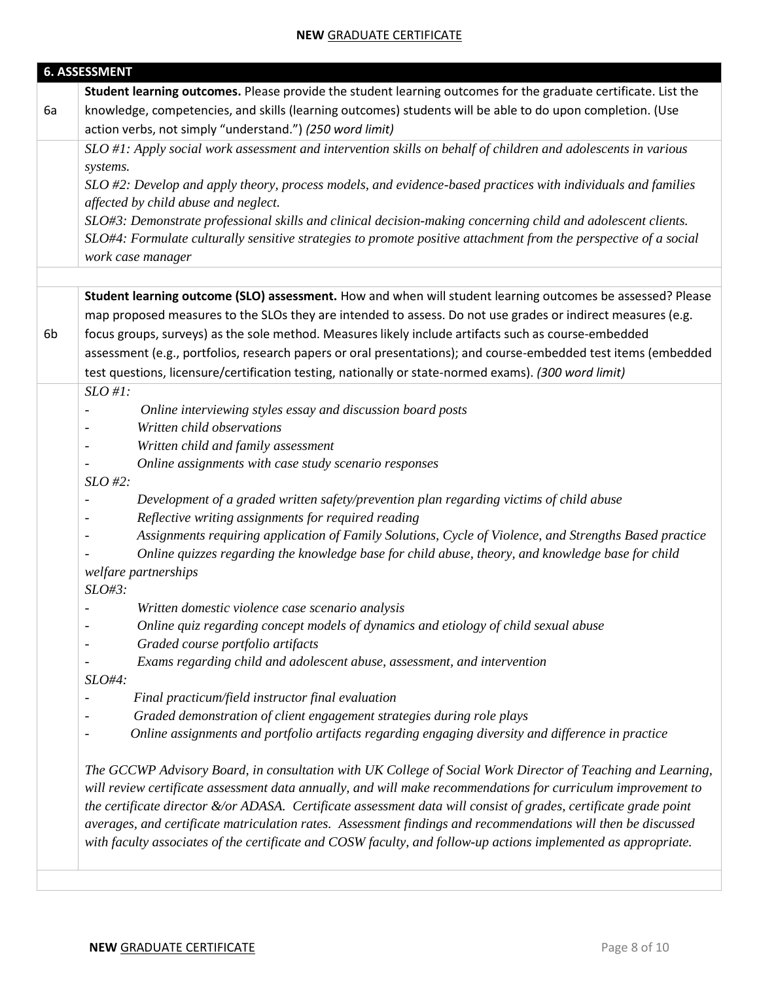|    | <b>6. ASSESSMENT</b>                                                                                                               |
|----|------------------------------------------------------------------------------------------------------------------------------------|
|    | Student learning outcomes. Please provide the student learning outcomes for the graduate certificate. List the                     |
| 6a | knowledge, competencies, and skills (learning outcomes) students will be able to do upon completion. (Use                          |
|    | action verbs, not simply "understand.") (250 word limit)                                                                           |
|    | SLO #1: Apply social work assessment and intervention skills on behalf of children and adolescents in various                      |
|    | systems.                                                                                                                           |
|    | SLO #2: Develop and apply theory, process models, and evidence-based practices with individuals and families                       |
|    | affected by child abuse and neglect.                                                                                               |
|    | SLO#3: Demonstrate professional skills and clinical decision-making concerning child and adolescent clients.                       |
|    | SLO#4: Formulate culturally sensitive strategies to promote positive attachment from the perspective of a social                   |
|    | work case manager                                                                                                                  |
|    | Student learning outcome (SLO) assessment. How and when will student learning outcomes be assessed? Please                         |
|    | map proposed measures to the SLOs they are intended to assess. Do not use grades or indirect measures (e.g.                        |
| 6b | focus groups, surveys) as the sole method. Measures likely include artifacts such as course-embedded                               |
|    | assessment (e.g., portfolios, research papers or oral presentations); and course-embedded test items (embedded                     |
|    | test questions, licensure/certification testing, nationally or state-normed exams). (300 word limit)                               |
|    | $SLO#1$ :                                                                                                                          |
|    | Online interviewing styles essay and discussion board posts<br>$\overline{\phantom{a}}$                                            |
|    | Written child observations                                                                                                         |
|    | Written child and family assessment<br>$\overline{\phantom{a}}$                                                                    |
|    | Online assignments with case study scenario responses                                                                              |
|    | $SLO$ #2:                                                                                                                          |
|    | Development of a graded written safety/prevention plan regarding victims of child abuse<br>$\qquad \qquad \blacksquare$            |
|    | Reflective writing assignments for required reading<br>$\overline{\phantom{a}}$                                                    |
|    | Assignments requiring application of Family Solutions, Cycle of Violence, and Strengths Based practice<br>$\overline{\phantom{a}}$ |
|    | Online quizzes regarding the knowledge base for child abuse, theory, and knowledge base for child                                  |
|    | welfare partnerships                                                                                                               |
|    | SLO#3:                                                                                                                             |
|    | Written domestic violence case scenario analysis                                                                                   |
|    | Online quiz regarding concept models of dynamics and etiology of child sexual abuse                                                |
|    | Graded course portfolio artifacts                                                                                                  |
|    | Exams regarding child and adolescent abuse, assessment, and intervention                                                           |
|    | $SLO#4$ :                                                                                                                          |
|    | Final practicum/field instructor final evaluation                                                                                  |
|    | Graded demonstration of client engagement strategies during role plays                                                             |
|    | Online assignments and portfolio artifacts regarding engaging diversity and difference in practice                                 |
|    | The GCCWP Advisory Board, in consultation with UK College of Social Work Director of Teaching and Learning,                        |
|    | will review certificate assessment data annually, and will make recommendations for curriculum improvement to                      |
|    | the certificate director &/or ADASA. Certificate assessment data will consist of grades, certificate grade point                   |
|    | averages, and certificate matriculation rates. Assessment findings and recommendations will then be discussed                      |
|    | with faculty associates of the certificate and COSW faculty, and follow-up actions implemented as appropriate.                     |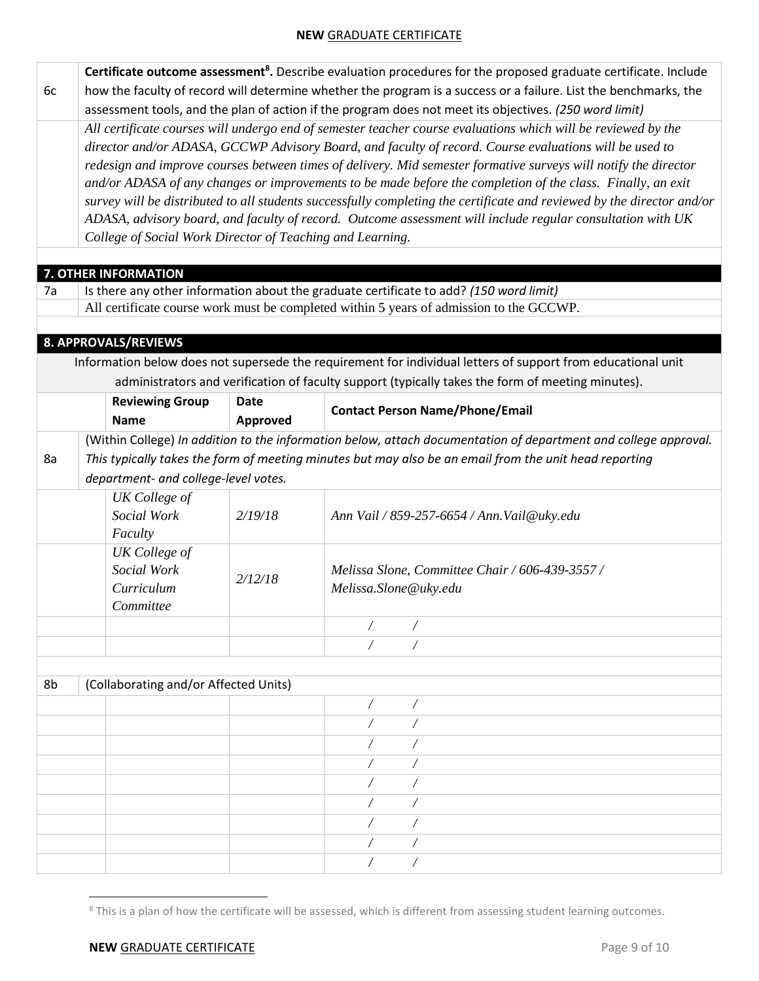|    | Certificate outcome assessment <sup>8</sup> . Describe evaluation procedures for the proposed graduate certificate. Include                                                                                                           |             |                                                                                                                 |  |  |  |  |  |  |  |  |
|----|---------------------------------------------------------------------------------------------------------------------------------------------------------------------------------------------------------------------------------------|-------------|-----------------------------------------------------------------------------------------------------------------|--|--|--|--|--|--|--|--|
| 6c | how the faculty of record will determine whether the program is a success or a failure. List the benchmarks, the                                                                                                                      |             |                                                                                                                 |  |  |  |  |  |  |  |  |
|    |                                                                                                                                                                                                                                       |             | assessment tools, and the plan of action if the program does not meet its objectives. (250 word limit)          |  |  |  |  |  |  |  |  |
|    |                                                                                                                                                                                                                                       |             | All certificate courses will undergo end of semester teacher course evaluations which will be reviewed by the   |  |  |  |  |  |  |  |  |
|    | director and/or ADASA, GCCWP Advisory Board, and faculty of record. Course evaluations will be used to                                                                                                                                |             |                                                                                                                 |  |  |  |  |  |  |  |  |
|    | redesign and improve courses between times of delivery. Mid semester formative surveys will notify the director                                                                                                                       |             |                                                                                                                 |  |  |  |  |  |  |  |  |
|    | and/or ADASA of any changes or improvements to be made before the completion of the class. Finally, an exit<br>survey will be distributed to all students successfully completing the certificate and reviewed by the director and/or |             |                                                                                                                 |  |  |  |  |  |  |  |  |
|    |                                                                                                                                                                                                                                       |             |                                                                                                                 |  |  |  |  |  |  |  |  |
|    | ADASA, advisory board, and faculty of record. Outcome assessment will include regular consultation with UK<br>College of Social Work Director of Teaching and Learning.                                                               |             |                                                                                                                 |  |  |  |  |  |  |  |  |
|    |                                                                                                                                                                                                                                       |             |                                                                                                                 |  |  |  |  |  |  |  |  |
|    | 7. OTHER INFORMATION                                                                                                                                                                                                                  |             |                                                                                                                 |  |  |  |  |  |  |  |  |
| 7a |                                                                                                                                                                                                                                       |             | Is there any other information about the graduate certificate to add? (150 word limit)                          |  |  |  |  |  |  |  |  |
|    |                                                                                                                                                                                                                                       |             | All certificate course work must be completed within 5 years of admission to the GCCWP.                         |  |  |  |  |  |  |  |  |
|    |                                                                                                                                                                                                                                       |             |                                                                                                                 |  |  |  |  |  |  |  |  |
|    | 8. APPROVALS/REVIEWS                                                                                                                                                                                                                  |             |                                                                                                                 |  |  |  |  |  |  |  |  |
|    |                                                                                                                                                                                                                                       |             | Information below does not supersede the requirement for individual letters of support from educational unit    |  |  |  |  |  |  |  |  |
|    |                                                                                                                                                                                                                                       |             | administrators and verification of faculty support (typically takes the form of meeting minutes).               |  |  |  |  |  |  |  |  |
|    | <b>Reviewing Group</b>                                                                                                                                                                                                                | <b>Date</b> | <b>Contact Person Name/Phone/Email</b>                                                                          |  |  |  |  |  |  |  |  |
|    | <b>Name</b>                                                                                                                                                                                                                           | Approved    |                                                                                                                 |  |  |  |  |  |  |  |  |
|    |                                                                                                                                                                                                                                       |             | (Within College) In addition to the information below, attach documentation of department and college approval. |  |  |  |  |  |  |  |  |
| 8a |                                                                                                                                                                                                                                       |             | This typically takes the form of meeting minutes but may also be an email from the unit head reporting          |  |  |  |  |  |  |  |  |
|    | department- and college-level votes.                                                                                                                                                                                                  |             |                                                                                                                 |  |  |  |  |  |  |  |  |
|    | UK College of                                                                                                                                                                                                                         |             |                                                                                                                 |  |  |  |  |  |  |  |  |
|    | Social Work                                                                                                                                                                                                                           | 2/19/18     | Ann Vail / 859-257-6654 / Ann. Vail@uky.edu                                                                     |  |  |  |  |  |  |  |  |
|    | Faculty                                                                                                                                                                                                                               |             |                                                                                                                 |  |  |  |  |  |  |  |  |
|    | <b>UK</b> College of                                                                                                                                                                                                                  |             |                                                                                                                 |  |  |  |  |  |  |  |  |
|    | Social Work                                                                                                                                                                                                                           | 2/12/18     | Melissa Slone, Committee Chair / 606-439-3557 /                                                                 |  |  |  |  |  |  |  |  |
|    | Curriculum                                                                                                                                                                                                                            |             | Melissa.Slone@uky.edu                                                                                           |  |  |  |  |  |  |  |  |
|    | Committee                                                                                                                                                                                                                             |             |                                                                                                                 |  |  |  |  |  |  |  |  |
|    |                                                                                                                                                                                                                                       |             |                                                                                                                 |  |  |  |  |  |  |  |  |
|    |                                                                                                                                                                                                                                       |             |                                                                                                                 |  |  |  |  |  |  |  |  |
|    |                                                                                                                                                                                                                                       |             |                                                                                                                 |  |  |  |  |  |  |  |  |
| 8b | (Collaborating and/or Affected Units)                                                                                                                                                                                                 |             |                                                                                                                 |  |  |  |  |  |  |  |  |
|    |                                                                                                                                                                                                                                       |             |                                                                                                                 |  |  |  |  |  |  |  |  |
|    |                                                                                                                                                                                                                                       |             |                                                                                                                 |  |  |  |  |  |  |  |  |
|    |                                                                                                                                                                                                                                       |             |                                                                                                                 |  |  |  |  |  |  |  |  |
|    |                                                                                                                                                                                                                                       |             |                                                                                                                 |  |  |  |  |  |  |  |  |
|    |                                                                                                                                                                                                                                       |             |                                                                                                                 |  |  |  |  |  |  |  |  |
|    |                                                                                                                                                                                                                                       |             |                                                                                                                 |  |  |  |  |  |  |  |  |
|    |                                                                                                                                                                                                                                       |             |                                                                                                                 |  |  |  |  |  |  |  |  |
|    |                                                                                                                                                                                                                                       |             |                                                                                                                 |  |  |  |  |  |  |  |  |
|    |                                                                                                                                                                                                                                       |             |                                                                                                                 |  |  |  |  |  |  |  |  |

<sup>&</sup>lt;sup>8</sup> This is a plan of how the certificate will be assessed, which is different from assessing student learning outcomes.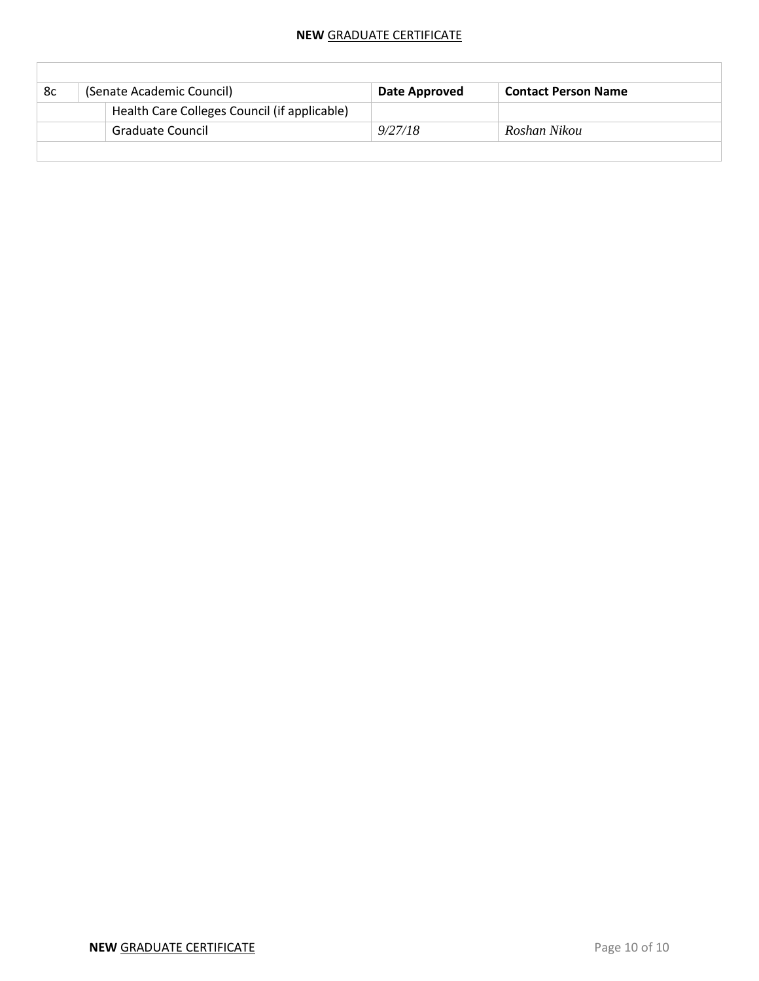| 8c | (Senate Academic Council) |                                              | Date Approved | <b>Contact Person Name</b> |
|----|---------------------------|----------------------------------------------|---------------|----------------------------|
|    |                           | Health Care Colleges Council (if applicable) |               |                            |
|    | <b>Graduate Council</b>   |                                              | 9/27/18       | Roshan Nikou               |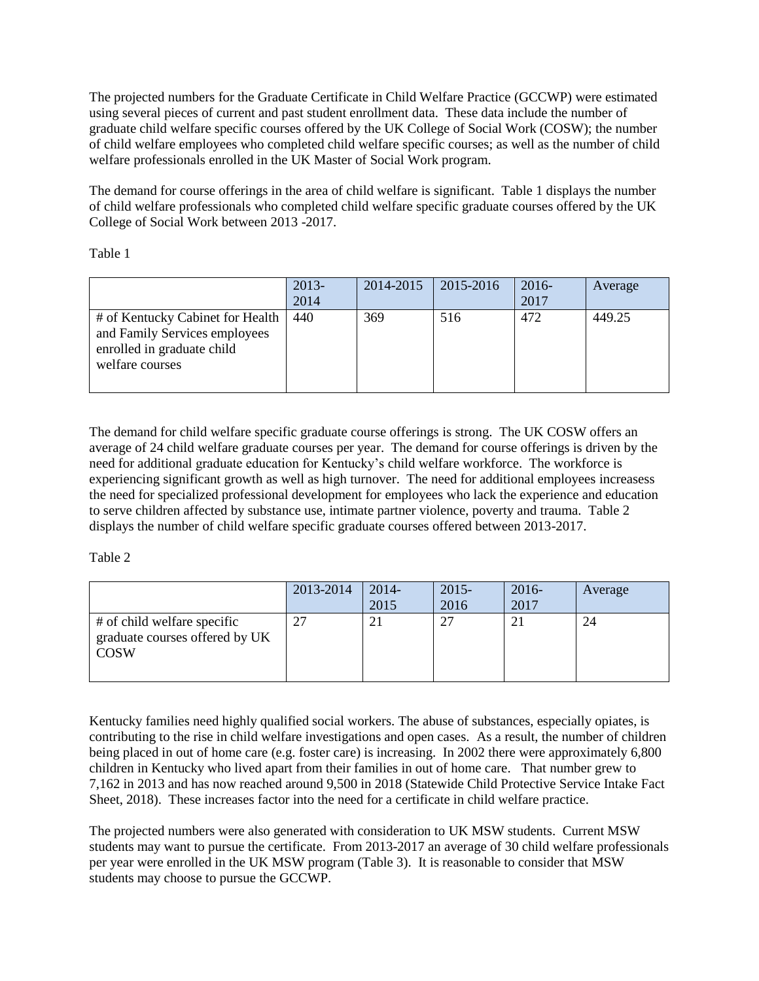The projected numbers for the Graduate Certificate in Child Welfare Practice (GCCWP) were estimated using several pieces of current and past student enrollment data. These data include the number of graduate child welfare specific courses offered by the UK College of Social Work (COSW); the number of child welfare employees who completed child welfare specific courses; as well as the number of child welfare professionals enrolled in the UK Master of Social Work program.

The demand for course offerings in the area of child welfare is significant. Table 1 displays the number of child welfare professionals who completed child welfare specific graduate courses offered by the UK College of Social Work between 2013 -2017.

Table 1

|                                                                                                                    | $2013-$<br>2014 | 2014-2015 | $ 2015 - 2016$ | $2016-$<br>2017 | Average |
|--------------------------------------------------------------------------------------------------------------------|-----------------|-----------|----------------|-----------------|---------|
| # of Kentucky Cabinet for Health<br>and Family Services employees<br>enrolled in graduate child<br>welfare courses | 440             | 369       | 516            | 472             | 449.25  |

The demand for child welfare specific graduate course offerings is strong. The UK COSW offers an average of 24 child welfare graduate courses per year. The demand for course offerings is driven by the need for additional graduate education for Kentucky's child welfare workforce. The workforce is experiencing significant growth as well as high turnover. The need for additional employees increasess the need for specialized professional development for employees who lack the experience and education to serve children affected by substance use, intimate partner violence, poverty and trauma. Table 2 displays the number of child welfare specific graduate courses offered between 2013-2017.

Table 2

|                                                                              | 2013-2014 | 2014-<br>2015  | $2015 -$<br>2016 | $2016-$<br>2017 | Average |
|------------------------------------------------------------------------------|-----------|----------------|------------------|-----------------|---------|
| # of child welfare specific<br>graduate courses offered by UK<br><b>COSW</b> |           | 2 <sub>1</sub> | 27               |                 | 24      |

Kentucky families need highly qualified social workers. The abuse of substances, especially opiates, is contributing to the rise in child welfare investigations and open cases. As a result, the number of children being placed in out of home care (e.g. foster care) is increasing. In 2002 there were approximately 6,800 children in Kentucky who lived apart from their families in out of home care. That number grew to 7,162 in 2013 and has now reached around 9,500 in 2018 (Statewide Child Protective Service Intake Fact Sheet, 2018). These increases factor into the need for a certificate in child welfare practice.

The projected numbers were also generated with consideration to UK MSW students. Current MSW students may want to pursue the certificate. From 2013-2017 an average of 30 child welfare professionals per year were enrolled in the UK MSW program (Table 3). It is reasonable to consider that MSW students may choose to pursue the GCCWP.